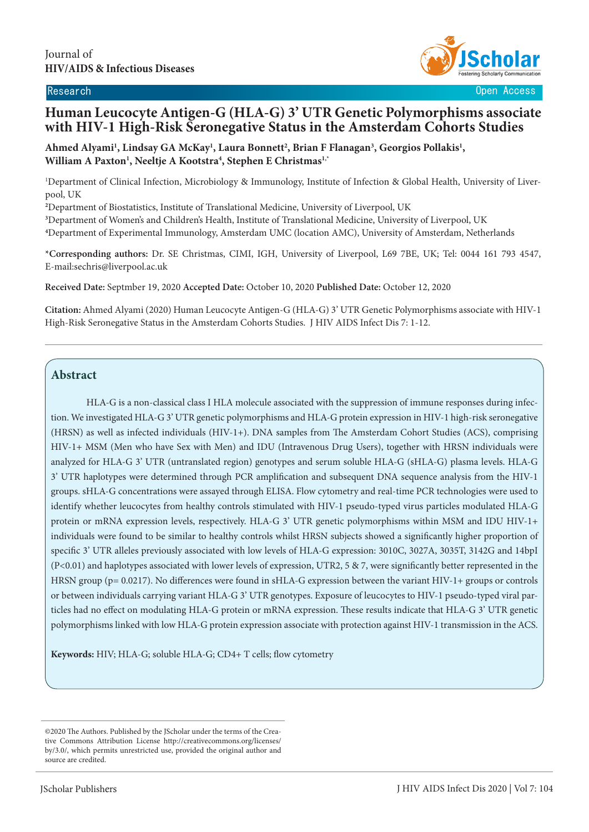

Research Open Access

# **Human Leucocyte Antigen-G (HLA-G) 3' UTR Genetic Polymorphisms associate with HIV-1 High-Risk Seronegative Status in the Amsterdam Cohorts Studies**

Ahmed Alyami<sup>1</sup>, Lindsay GA McKay<sup>1</sup>, Laura Bonnett<sup>2</sup>, Brian F Flanagan<sup>3</sup>, Georgios Pollakis<sup>1</sup>, **William A Paxton1 , Neeltje A Kootstra4 , Stephen E Christmas1,\***

1 Department of Clinical Infection, Microbiology & Immunology, Institute of Infection & Global Health, University of Liverpool, UK

**2** Department of Biostatistics, Institute of Translational Medicine, University of Liverpool, UK

**3** Department of Women's and Children's Health, Institute of Translational Medicine, University of Liverpool, UK **4** Department of Experimental Immunology, Amsterdam UMC (location AMC), University of Amsterdam, Netherlands

**\*Corresponding authors:** Dr. SE Christmas, CIMI, IGH, University of Liverpool, L69 7BE, UK; Tel: 0044 161 793 4547, E-mail:sechris@liverpool.ac.uk

**Received Date:** Septmber 19, 2020 **Accepted Date:** October 10, 2020 **Published Date:** October 12, 2020

**Citation:** Ahmed Alyami (2020) Human Leucocyte Antigen-G (HLA-G) 3' UTR Genetic Polymorphisms associate with HIV-1 High-Risk Seronegative Status in the Amsterdam Cohorts Studies. J HIV AIDS Infect Dis 7: 1-12.

## **Abstract**

HLA-G is a non-classical class I HLA molecule associated with the suppression of immune responses during infection. We investigated HLA-G 3' UTR genetic polymorphisms and HLA-G protein expression in HIV-1 high-risk seronegative (HRSN) as well as infected individuals (HIV-1+). DNA samples from The Amsterdam Cohort Studies (ACS), comprising HIV-1+ MSM (Men who have Sex with Men) and IDU (Intravenous Drug Users), together with HRSN individuals were analyzed for HLA-G 3' UTR (untranslated region) genotypes and serum soluble HLA-G (sHLA-G) plasma levels. HLA-G 3' UTR haplotypes were determined through PCR amplification and subsequent DNA sequence analysis from the HIV-1 groups. sHLA-G concentrations were assayed through ELISA. Flow cytometry and real-time PCR technologies were used to identify whether leucocytes from healthy controls stimulated with HIV-1 pseudo-typed virus particles modulated HLA-G protein or mRNA expression levels, respectively. HLA-G 3' UTR genetic polymorphisms within MSM and IDU HIV-1+ individuals were found to be similar to healthy controls whilst HRSN subjects showed a significantly higher proportion of specific 3' UTR alleles previously associated with low levels of HLA-G expression: 3010C, 3027A, 3035T, 3142G and 14bpI (P<0.01) and haplotypes associated with lower levels of expression, UTR2, 5  $\&$  7, were significantly better represented in the HRSN group (p= 0.0217). No differences were found in sHLA-G expression between the variant HIV-1+ groups or controls or between individuals carrying variant HLA-G 3' UTR genotypes. Exposure of leucocytes to HIV-1 pseudo-typed viral particles had no effect on modulating HLA-G protein or mRNA expression. These results indicate that HLA-G 3' UTR genetic polymorphisms linked with low HLA-G protein expression associate with protection against HIV-1 transmission in the ACS.

**Keywords:** HIV; HLA-G; soluble HLA-G; CD4+ T cells; flow cytometry

<sup>©2020</sup> The Authors. Published by the JScholar under the terms of the Creative Commons Attribution License http://creativecommons.org/licenses/ by/3.0/, which permits unrestricted use, provided the original author and source are credited.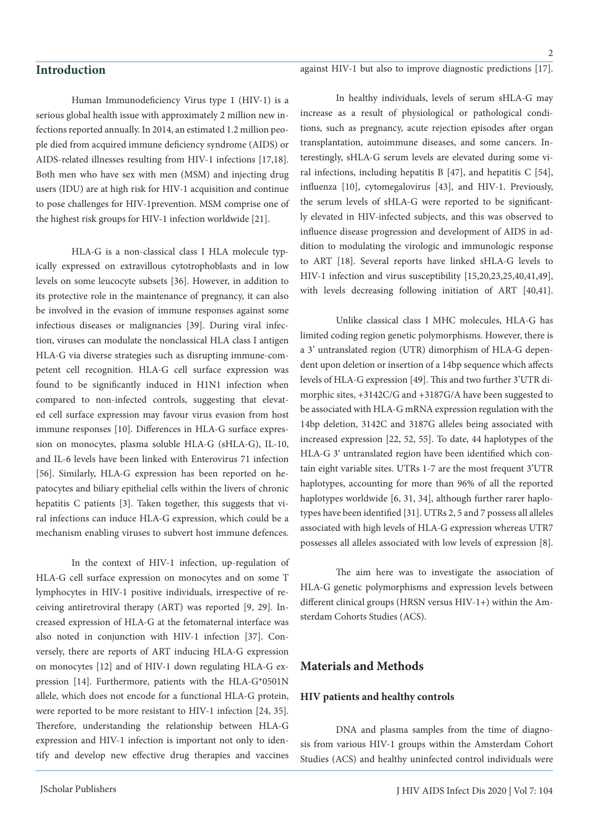## **Introduction**

 $\overline{2}$ 

Human Immunodeficiency Virus type 1 (HIV-1) is a serious global health issue with approximately 2 million new infections reported annually. In 2014, an estimated 1.2 million people died from acquired immune deficiency syndrome (AIDS) or AIDS-related illnesses resulting from HIV-1 infections [17,18]. Both men who have sex with men (MSM) and injecting drug users (IDU) are at high risk for HIV-1 acquisition and continue to pose challenges for HIV-1prevention. MSM comprise one of the highest risk groups for HIV-1 infection worldwide [21].

HLA-G is a non-classical class I HLA molecule typically expressed on extravillous cytotrophoblasts and in low levels on some leucocyte subsets [36]. However, in addition to its protective role in the maintenance of pregnancy, it can also be involved in the evasion of immune responses against some infectious diseases or malignancies [39]. During viral infection, viruses can modulate the nonclassical HLA class I antigen HLA-G via diverse strategies such as disrupting immune-competent cell recognition. HLA-G cell surface expression was found to be significantly induced in H1N1 infection when compared to non-infected controls, suggesting that elevated cell surface expression may favour virus evasion from host immune responses [10]. Differences in HLA-G surface expression on monocytes, plasma soluble HLA-G (sHLA-G), IL-10, and IL-6 levels have been linked with Enterovirus 71 infection [56]. Similarly, HLA-G expression has been reported on hepatocytes and biliary epithelial cells within the livers of chronic hepatitis C patients [3]. Taken together, this suggests that viral infections can induce HLA-G expression, which could be a mechanism enabling viruses to subvert host immune defences.

In the context of HIV-1 infection, up-regulation of HLA-G cell surface expression on monocytes and on some T lymphocytes in HIV-1 positive individuals, irrespective of receiving antiretroviral therapy (ART) was reported [9, 29]. Increased expression of HLA-G at the fetomaternal interface was also noted in conjunction with HIV-1 infection [37]. Conversely, there are reports of ART inducing HLA-G expression on monocytes [12] and of HIV-1 down regulating HLA-G expression [14]. Furthermore, patients with the HLA-G\*0501N allele, which does not encode for a functional HLA-G protein, were reported to be more resistant to HIV-1 infection [24, 35]. Therefore, understanding the relationship between HLA-G expression and HIV-1 infection is important not only to identify and develop new effective drug therapies and vaccines

In healthy individuals, levels of serum sHLA-G may increase as a result of physiological or pathological conditions, such as pregnancy, acute rejection episodes after organ transplantation, autoimmune diseases, and some cancers. Interestingly, sHLA-G serum levels are elevated during some viral infections, including hepatitis B [47], and hepatitis C [54], influenza [10], cytomegalovirus [43], and HIV-1. Previously, the serum levels of sHLA-G were reported to be significantly elevated in HIV-infected subjects, and this was observed to influence disease progression and development of AIDS in addition to modulating the virologic and immunologic response to ART [18]. Several reports have linked sHLA-G levels to HIV-1 infection and virus susceptibility [15,20,23,25,40,41,49], with levels decreasing following initiation of ART [40,41].

Unlike classical class I MHC molecules, HLA-G has limited coding region genetic polymorphisms. However, there is a 3' untranslated region (UTR) dimorphism of HLA-G dependent upon deletion or insertion of a 14bp sequence which affects levels of HLA-G expression [49]. This and two further 3'UTR dimorphic sites, +3142C/G and +3187G/A have been suggested to be associated with HLA-G mRNA expression regulation with the 14bp deletion, 3142C and 3187G alleles being associated with increased expression [22, 52, 55]. To date, 44 haplotypes of the HLA-G 3′ untranslated region have been identified which contain eight variable sites. UTRs 1-7 are the most frequent 3'UTR haplotypes, accounting for more than 96% of all the reported haplotypes worldwide [6, 31, 34], although further rarer haplotypes have been identified [31]. UTRs 2, 5 and 7 possess all alleles associated with high levels of HLA-G expression whereas UTR7 possesses all alleles associated with low levels of expression [8].

The aim here was to investigate the association of HLA-G genetic polymorphisms and expression levels between different clinical groups (HRSN versus HIV-1+) within the Amsterdam Cohorts Studies (ACS).

## **Materials and Methods**

### **HIV patients and healthy controls**

DNA and plasma samples from the time of diagnosis from various HIV-1 groups within the Amsterdam Cohort Studies (ACS) and healthy uninfected control individuals were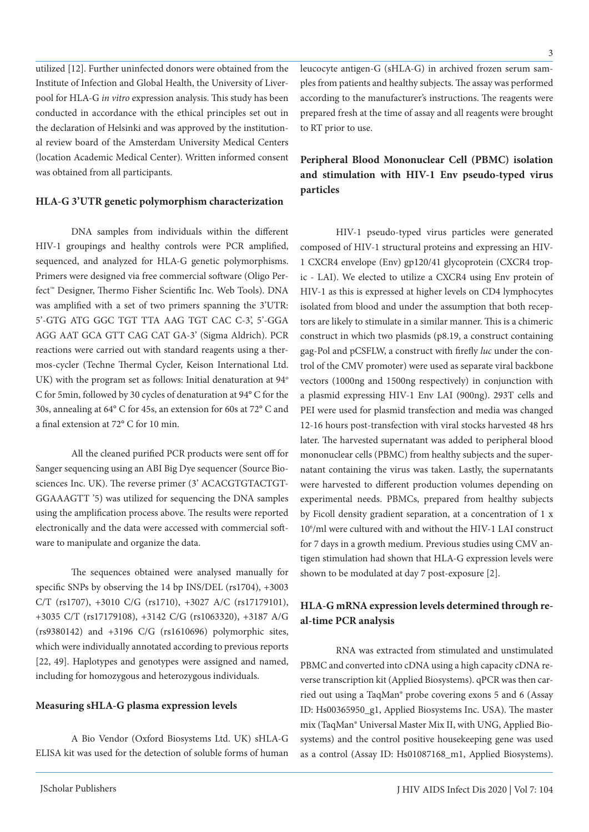utilized [12]. Further uninfected donors were obtained from the Institute of Infection and Global Health, the University of Liverpool for HLA-G *in vitro* expression analysis. This study has been conducted in accordance with the ethical principles set out in the declaration of Helsinki and was approved by the institutional review board of the Amsterdam University Medical Centers (location Academic Medical Center). Written informed consent was obtained from all participants.

#### **HLA-G 3'UTR genetic polymorphism characterization**

DNA samples from individuals within the different HIV-1 groupings and healthy controls were PCR amplified, sequenced, and analyzed for HLA-G genetic polymorphisms. Primers were designed via free commercial software (Oligo Perfect™ Designer, Thermo Fisher Scientific Inc. Web Tools). DNA was amplified with a set of two primers spanning the 3'UTR: 5'-GTG ATG GGC TGT TTA AAG TGT CAC C-3', 5'-GGA AGG AAT GCA GTT CAG CAT GA-3' (Sigma Aldrich). PCR reactions were carried out with standard reagents using a thermos-cycler (Techne Thermal Cycler, Keison International Ltd. UK) with the program set as follows: Initial denaturation at 94° C for 5min, followed by 30 cycles of denaturation at 94° C for the 30s, annealing at 64° C for 45s, an extension for 60s at 72° C and a final extension at 72° C for 10 min.

All the cleaned purified PCR products were sent off for Sanger sequencing using an ABI Big Dye sequencer (Source Biosciences Inc. UK). The reverse primer (3' ACACGTGTACTGT-GGAAAGTT '5) was utilized for sequencing the DNA samples using the amplification process above. The results were reported electronically and the data were accessed with commercial software to manipulate and organize the data.

The sequences obtained were analysed manually for specific SNPs by observing the 14 bp INS/DEL (rs1704), +3003 C/T (rs1707), +3010 C/G (rs1710), +3027 A/C (rs17179101), +3035 C/T (rs17179108), +3142 C/G (rs1063320), +3187 A/G (rs9380142) and +3196 C/G (rs1610696) polymorphic sites, which were individually annotated according to previous reports [22, 49]. Haplotypes and genotypes were assigned and named, including for homozygous and heterozygous individuals.

#### **Measuring sHLA-G plasma expression levels**

A Bio Vendor (Oxford Biosystems Ltd. UK) sHLA-G ELISA kit was used for the detection of soluble forms of human

leucocyte antigen-G (sHLA-G) in archived frozen serum samples from patients and healthy subjects. The assay was performed according to the manufacturer's instructions. The reagents were prepared fresh at the time of assay and all reagents were brought to RT prior to use.

## **Peripheral Blood Mononuclear Cell (PBMC) isolation and stimulation with HIV-1 Env pseudo-typed virus particles**

HIV-1 pseudo-typed virus particles were generated composed of HIV-1 structural proteins and expressing an HIV-1 CXCR4 envelope (Env) gp120/41 glycoprotein (CXCR4 tropic - LAI). We elected to utilize a CXCR4 using Env protein of HIV-1 as this is expressed at higher levels on CD4 lymphocytes isolated from blood and under the assumption that both receptors are likely to stimulate in a similar manner. This is a chimeric construct in which two plasmids (p8.19, a construct containing gag-Pol and pCSFLW, a construct with firefly *luc* under the control of the CMV promoter) were used as separate viral backbone vectors (1000ng and 1500ng respectively) in conjunction with a plasmid expressing HIV-1 Env LAI (900ng). 293T cells and PEI were used for plasmid transfection and media was changed 12-16 hours post-transfection with viral stocks harvested 48 hrs later. The harvested supernatant was added to peripheral blood mononuclear cells (PBMC) from healthy subjects and the supernatant containing the virus was taken. Lastly, the supernatants were harvested to different production volumes depending on experimental needs. PBMCs, prepared from healthy subjects by Ficoll density gradient separation, at a concentration of 1 x 106 /ml were cultured with and without the HIV-1 LAI construct for 7 days in a growth medium. Previous studies using CMV antigen stimulation had shown that HLA-G expression levels were shown to be modulated at day 7 post-exposure [2].

## **HLA-G mRNA expression levels determined through real-time PCR analysis**

RNA was extracted from stimulated and unstimulated PBMC and converted into cDNA using a high capacity cDNA reverse transcription kit (Applied Biosystems). qPCR was then carried out using a TaqMan® probe covering exons 5 and 6 (Assay ID: Hs00365950\_g1, Applied Biosystems Inc. USA). The master mix (TaqMan® Universal Master Mix II, with UNG, Applied Biosystems) and the control positive housekeeping gene was used as a control (Assay ID: Hs01087168\_m1, Applied Biosystems).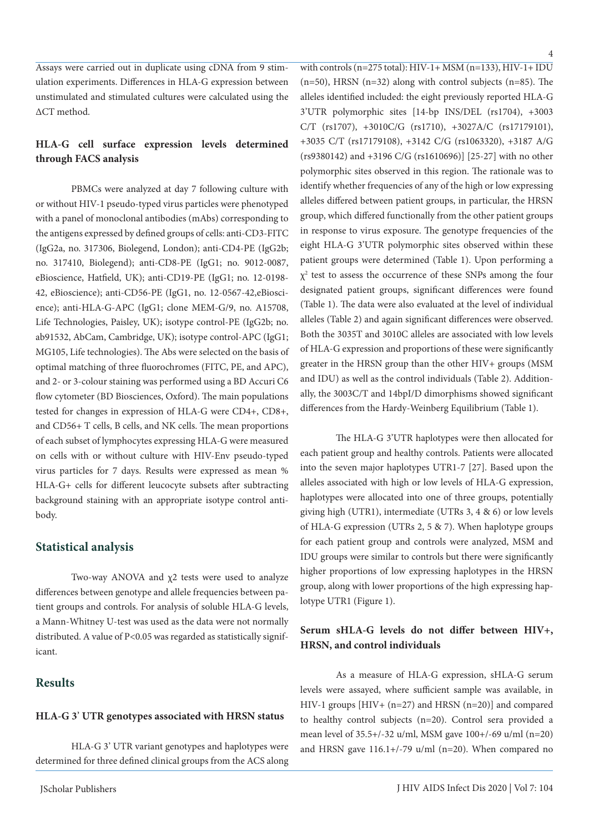Assays were carried out in duplicate using cDNA from 9 stimulation experiments. Differences in HLA-G expression between unstimulated and stimulated cultures were calculated using the ΔCT method.

## **HLA-G cell surface expression levels determined through FACS analysis**

PBMCs were analyzed at day 7 following culture with or without HIV-1 pseudo-typed virus particles were phenotyped with a panel of monoclonal antibodies (mAbs) corresponding to the antigens expressed by defined groups of cells: anti-CD3-FITC (IgG2a, no. 317306, Biolegend, London); anti-CD4-PE (IgG2b; no. 317410, Biolegend); anti-CD8-PE (IgG1; no. 9012-0087, eBioscience, Hatfield, UK); anti-CD19-PE (IgG1; no. 12-0198- 42, eBioscience); anti-CD56-PE (IgG1, no. 12-0567-42,eBioscience); anti-HLA-G-APC (IgG1; clone MEM-G/9, no. A15708, Life Technologies, Paisley, UK); isotype control-PE (IgG2b; no. ab91532, AbCam, Cambridge, UK); isotype control-APC (IgG1; MG105, Life technologies). The Abs were selected on the basis of optimal matching of three fluorochromes (FITC, PE, and APC), and 2- or 3-colour staining was performed using a BD Accuri C6 flow cytometer (BD Biosciences, Oxford). The main populations tested for changes in expression of HLA-G were CD4+, CD8+, and CD56+ T cells, B cells, and NK cells. The mean proportions of each subset of lymphocytes expressing HLA-G were measured on cells with or without culture with HIV-Env pseudo-typed virus particles for 7 days. Results were expressed as mean % HLA-G+ cells for different leucocyte subsets after subtracting background staining with an appropriate isotype control antibody.

### **Statistical analysis**

Two-way ANOVA and χ2 tests were used to analyze differences between genotype and allele frequencies between patient groups and controls. For analysis of soluble HLA-G levels, a Mann-Whitney U-test was used as the data were not normally distributed. A value of P<0.05 was regarded as statistically significant.

## **Results**

#### **HLA-G 3**' **UTR genotypes associated with HRSN status**

HLA-G 3' UTR variant genotypes and haplotypes were determined for three defined clinical groups from the ACS along with controls (n=275 total):  $HIV-1+ MSM$  (n=133),  $HIV-1+ IDU$  $(n=50)$ , HRSN  $(n=32)$  along with control subjects  $(n=85)$ . The alleles identified included: the eight previously reported HLA-G 3'UTR polymorphic sites [14-bp INS/DEL (rs1704), +3003 C/T (rs1707), +3010C/G (rs1710), +3027A/C (rs17179101), +3035 C/T (rs17179108), +3142 C/G (rs1063320), +3187 A/G (rs9380142) and +3196 C/G (rs1610696)] [25-27] with no other polymorphic sites observed in this region. The rationale was to identify whether frequencies of any of the high or low expressing alleles differed between patient groups, in particular, the HRSN group, which differed functionally from the other patient groups in response to virus exposure. The genotype frequencies of the eight HLA-G 3'UTR polymorphic sites observed within these patient groups were determined (Table 1). Upon performing a  $\chi^2$  test to assess the occurrence of these SNPs among the four designated patient groups, significant differences were found (Table 1). The data were also evaluated at the level of individual alleles (Table 2) and again significant differences were observed. Both the 3035T and 3010C alleles are associated with low levels of HLA-G expression and proportions of these were significantly greater in the HRSN group than the other HIV+ groups (MSM and IDU) as well as the control individuals (Table 2). Additionally, the 3003C/T and 14bpI/D dimorphisms showed significant differences from the Hardy-Weinberg Equilibrium (Table 1).

The HLA-G 3'UTR haplotypes were then allocated for each patient group and healthy controls. Patients were allocated into the seven major haplotypes UTR1-7 [27]. Based upon the alleles associated with high or low levels of HLA-G expression, haplotypes were allocated into one of three groups, potentially giving high (UTR1), intermediate (UTRs 3, 4 & 6) or low levels of HLA-G expression (UTRs 2, 5 & 7). When haplotype groups for each patient group and controls were analyzed, MSM and IDU groups were similar to controls but there were significantly higher proportions of low expressing haplotypes in the HRSN group, along with lower proportions of the high expressing haplotype UTR1 (Figure 1).

## **Serum sHLA-G levels do not differ between HIV+, HRSN, and control individuals**

As a measure of HLA-G expression, sHLA-G serum levels were assayed, where sufficient sample was available, in HIV-1 groups [HIV+ (n=27) and HRSN (n=20)] and compared to healthy control subjects (n=20). Control sera provided a mean level of 35.5+/-32 u/ml, MSM gave 100+/-69 u/ml (n=20) and HRSN gave 116.1+/-79 u/ml (n=20). When compared no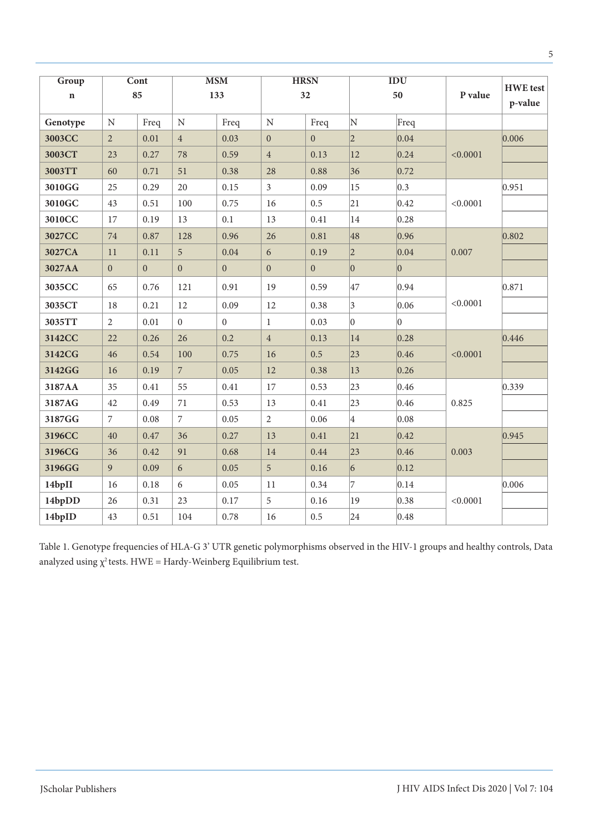| Group       | Cont<br>85       |              | <b>MSM</b><br>133 |                  | <b>HRSN</b><br>32 |                  | IDU<br>50      |                | P value  | <b>HWE</b> test<br>p-value |
|-------------|------------------|--------------|-------------------|------------------|-------------------|------------------|----------------|----------------|----------|----------------------------|
| $\mathbf n$ |                  |              |                   |                  |                   |                  |                |                |          |                            |
| Genotype    | ${\bf N}$        | Freq         | $\mathbf N$       | Freq             | ${\bf N}$         | Freq             | N              | Freq           |          |                            |
| 3003CC      | $\overline{2}$   | $0.01\,$     | $\overline{4}$    | 0.03             | $\boldsymbol{0}$  | $\boldsymbol{0}$ | $\overline{2}$ | 0.04           | < 0.0001 | 0.006                      |
| 3003CT      | 23               | 0.27         | 78                | 0.59             | $\overline{4}$    | 0.13             | $ 12\rangle$   | 0.24           |          |                            |
| 3003TT      | 60               | 0.71         | 51                | 0.38             | 28                | 0.88             | 36             | 0.72           |          |                            |
| 3010GG      | 25               | 0.29         | 20                | 0.15             | $\mathfrak{Z}$    | 0.09             | 15             | 0.3            | < 0.0001 | 0.951                      |
| 3010GC      | 43               | 0.51         | 100               | 0.75             | 16                | 0.5              | 21             | 0.42           |          |                            |
| 3010CC      | 17               | 0.19         | 13                | 0.1              | 13                | 0.41             | 14             | 0.28           |          |                            |
| 3027CC      | 74               | 0.87         | 128               | 0.96             | 26                | 0.81             | 48             | 0.96           | 0.007    | 0.802                      |
| 3027CA      | 11               | 0.11         | 5                 | 0.04             | 6                 | 0.19             | $ 2\rangle$    | 0.04           |          |                            |
| 3027AA      | $\boldsymbol{0}$ | $\mathbf{0}$ | $\overline{0}$    | $\boldsymbol{0}$ | $\boldsymbol{0}$  | $\boldsymbol{0}$ | $ 0\rangle$    | $ 0\rangle$    |          |                            |
| 3035CC      | 65               | 0.76         | 121               | 0.91             | 19                | 0.59             | 47             | 0.94           | < 0.0001 | 0.871                      |
| 3035CT      | 18               | 0.21         | 12                | 0.09             | 12                | 0.38             | $\vert$ 3      | 0.06           |          |                            |
| 3035TT      | $\overline{2}$   | 0.01         | $\overline{0}$    | $\Omega$         | $\mathbf{1}$      | 0.03             | $ 0\rangle$    | $\overline{0}$ |          |                            |
| 3142CC      | 22               | 0.26         | 26                | 0.2              | $\overline{4}$    | 0.13             | 14             | 0.28           | < 0.0001 | 0.446                      |
| 3142CG      | 46               | 0.54         | 100               | 0.75             | 16                | 0.5              | 23             | 0.46           |          |                            |
| 3142GG      | 16               | 0.19         | $7\overline{ }$   | 0.05             | 12                | 0.38             | $ 13\rangle$   | 0.26           |          |                            |
| 3187AA      | 35               | 0.41         | 55                | 0.41             | 17                | 0.53             | 23             | 0.46           | 0.825    | 0.339                      |
| 3187AG      | 42               | 0.49         | 71                | 0.53             | 13                | 0.41             | 23             | 0.46           |          |                            |
| 3187GG      | $\overline{7}$   | 0.08         | $\overline{7}$    | 0.05             | $\overline{2}$    | 0.06             | 4              | 0.08           |          |                            |
| 3196CC      | 40               | 0.47         | 36                | 0.27             | 13                | 0.41             | 21             | 0.42           | 0.003    | 0.945                      |
| 3196CG      | 36               | 0.42         | 91                | 0.68             | 14                | 0.44             | 23             | 0.46           |          |                            |
| 3196GG      | $\overline{9}$   | 0.09         | 6                 | 0.05             | 5                 | 0.16             | 6              | 0.12           |          |                            |
| 14bpII      | 16               | 0.18         | 6                 | 0.05             | 11                | 0.34             | 7              | 0.14           | < 0.0001 | 0.006                      |
| 14bpDD      | 26               | 0.31         | 23                | 0.17             | 5                 | 0.16             | 19             | 0.38           |          |                            |
| 14bpID      | 43               | 0.51         | 104               | 0.78             | 16                | 0.5              | 24             | 0.48           |          |                            |

Table 1. Genotype frequencies of HLA-G 3' UTR genetic polymorphisms observed in the HIV-1 groups and healthy controls, Data analyzed using  $\chi^2$  tests. HWE = Hardy-Weinberg Equilibrium test.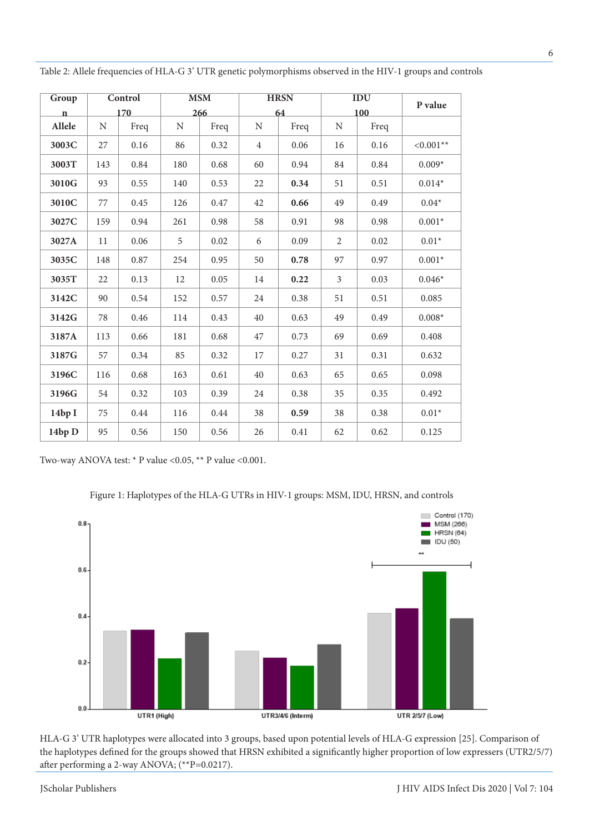| Group        | Control |      | <b>MSM</b>  |      |                | <b>HRSN</b> | <b>IDU</b>     |      | P value               |
|--------------|---------|------|-------------|------|----------------|-------------|----------------|------|-----------------------|
| $\mathbf{n}$ | 170     |      | 266         |      |                | 64          | 100            |      |                       |
| Allele       | N       | Freq | $\mathbf N$ | Freq | $\mathbf N$    | Freq        | $\mathbf N$    | Freq |                       |
| 3003C        | 27      | 0.16 | 86          | 0.32 | $\overline{4}$ | 0.06        | 16             | 0.16 | ${<}0.001^{\ast\ast}$ |
| 3003T        | 143     | 0.84 | 180         | 0.68 | 60             | 0.94        | 84             | 0.84 | $0.009*$              |
| 3010G        | 93      | 0.55 | 140         | 0.53 | 22             | 0.34        | 51             | 0.51 | $0.014*$              |
| 3010C        | 77      | 0.45 | 126         | 0.47 | 42             | 0.66        | 49             | 0.49 | $0.04*$               |
| 3027C        | 159     | 0.94 | 261         | 0.98 | 58             | 0.91        | 98             | 0.98 | $0.001*$              |
| 3027A        | 11      | 0.06 | 5           | 0.02 | 6              | 0.09        | $\overline{2}$ | 0.02 | $0.01*$               |
| 3035C        | 148     | 0.87 | 254         | 0.95 | 50             | 0.78        | 97             | 0.97 | $0.001*$              |
| 3035T        | 22      | 0.13 | 12          | 0.05 | 14             | 0.22        | $\mathfrak{Z}$ | 0.03 | $0.046*$              |
| 3142C        | 90      | 0.54 | 152         | 0.57 | 24             | 0.38        | 51             | 0.51 | 0.085                 |
| 3142G        | 78      | 0.46 | 114         | 0.43 | 40             | 0.63        | 49             | 0.49 | $0.008*$              |
| 3187A        | 113     | 0.66 | 181         | 0.68 | 47             | 0.73        | 69             | 0.69 | 0.408                 |
| 3187G        | 57      | 0.34 | 85          | 0.32 | 17             | 0.27        | 31             | 0.31 | 0.632                 |
| 3196C        | 116     | 0.68 | 163         | 0.61 | 40             | 0.63        | 65             | 0.65 | 0.098                 |
| 3196G        | 54      | 0.32 | 103         | 0.39 | 24             | 0.38        | 35             | 0.35 | 0.492                 |
| 14bpI        | 75      | 0.44 | 116         | 0.44 | 38             | 0.59        | 38             | 0.38 | $0.01*$               |
| 14bp D       | 95      | 0.56 | 150         | 0.56 | 26             | 0.41        | 62             | 0.62 | 0.125                 |

Table 2: Allele frequencies of HLA-G 3' UTR genetic polymorphisms observed in the HIV-1 groups and controls

Two-way ANOVA test: \* P value <0.05, \*\* P value <0.001.

Figure 1: Haplotypes of the HLA-G UTRs in HIV-1 groups: MSM, IDU, HRSN, and controls



HLA-G 3' UTR haplotypes were allocated into 3 groups, based upon potential levels of HLA-G expression [25]. Comparison of the haplotypes defined for the groups showed that HRSN exhibited a significantly higher proportion of low expressers (UTR2/5/7) after performing a 2-way ANOVA; (\*\*P=0.0217).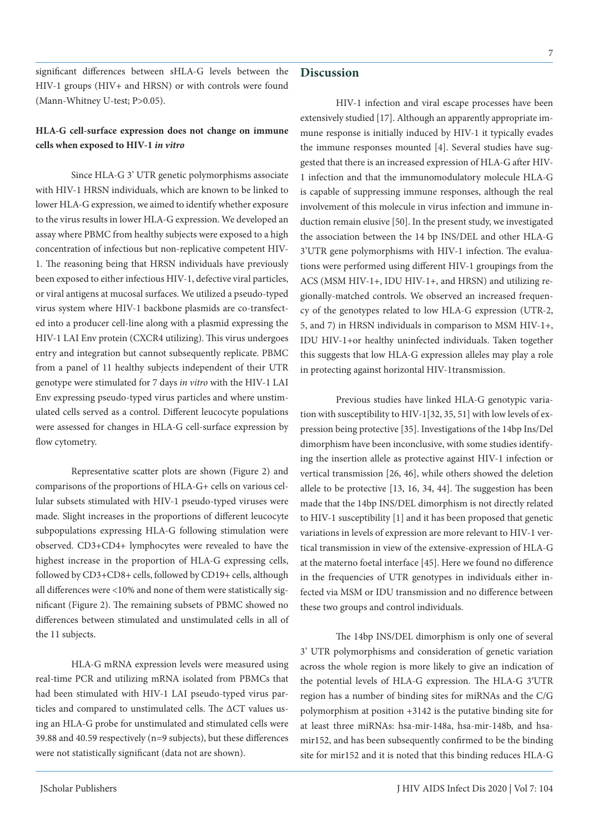significant differences between sHLA-G levels between the HIV-1 groups (HIV+ and HRSN) or with controls were found (Mann-Whitney U-test; P>0.05).

## **HLA-G cell-surface expression does not change on immune cells when exposed to HIV-1** *in vitro*

Since HLA-G 3' UTR genetic polymorphisms associate with HIV-1 HRSN individuals, which are known to be linked to lower HLA-G expression, we aimed to identify whether exposure to the virus results in lower HLA-G expression. We developed an assay where PBMC from healthy subjects were exposed to a high concentration of infectious but non-replicative competent HIV-1. The reasoning being that HRSN individuals have previously been exposed to either infectious HIV-1, defective viral particles, or viral antigens at mucosal surfaces. We utilized a pseudo-typed virus system where HIV-1 backbone plasmids are co-transfected into a producer cell-line along with a plasmid expressing the HIV-1 LAI Env protein (CXCR4 utilizing). This virus undergoes entry and integration but cannot subsequently replicate. PBMC from a panel of 11 healthy subjects independent of their UTR genotype were stimulated for 7 days *in vitro* with the HIV-1 LAI Env expressing pseudo-typed virus particles and where unstimulated cells served as a control. Different leucocyte populations were assessed for changes in HLA-G cell-surface expression by flow cytometry.

Representative scatter plots are shown (Figure 2) and comparisons of the proportions of HLA-G+ cells on various cellular subsets stimulated with HIV-1 pseudo-typed viruses were made. Slight increases in the proportions of different leucocyte subpopulations expressing HLA-G following stimulation were observed. CD3+CD4+ lymphocytes were revealed to have the highest increase in the proportion of HLA-G expressing cells, followed by CD3+CD8+ cells, followed by CD19+ cells, although all differences were <10% and none of them were statistically significant (Figure 2). The remaining subsets of PBMC showed no differences between stimulated and unstimulated cells in all of the 11 subjects.

HLA-G mRNA expression levels were measured using real-time PCR and utilizing mRNA isolated from PBMCs that had been stimulated with HIV-1 LAI pseudo-typed virus particles and compared to unstimulated cells. The ΔCT values using an HLA-G probe for unstimulated and stimulated cells were 39.88 and 40.59 respectively (n=9 subjects), but these differences were not statistically significant (data not are shown).

## **Discussion**

HIV-1 infection and viral escape processes have been extensively studied [17]. Although an apparently appropriate immune response is initially induced by HIV-1 it typically evades the immune responses mounted [4]. Several studies have suggested that there is an increased expression of HLA-G after HIV-1 infection and that the immunomodulatory molecule HLA-G is capable of suppressing immune responses, although the real involvement of this molecule in virus infection and immune induction remain elusive [50]. In the present study, we investigated the association between the 14 bp INS/DEL and other HLA-G 3'UTR gene polymorphisms with HIV-1 infection. The evaluations were performed using different HIV-1 groupings from the ACS (MSM HIV-1+, IDU HIV-1+, and HRSN) and utilizing regionally-matched controls. We observed an increased frequency of the genotypes related to low HLA-G expression (UTR-2, 5, and 7) in HRSN individuals in comparison to MSM HIV-1+, IDU HIV-1+or healthy uninfected individuals. Taken together this suggests that low HLA-G expression alleles may play a role in protecting against horizontal HIV-1transmission.

Previous studies have linked HLA-G genotypic variation with susceptibility to HIV-1[32, 35, 51] with low levels of expression being protective [35]. Investigations of the 14bp Ins/Del dimorphism have been inconclusive, with some studies identifying the insertion allele as protective against HIV-1 infection or vertical transmission [26, 46], while others showed the deletion allele to be protective [13, 16, 34, 44]. The suggestion has been made that the 14bp INS/DEL dimorphism is not directly related to HIV-1 susceptibility [1] and it has been proposed that genetic variations in levels of expression are more relevant to HIV-1 vertical transmission in view of the extensive-expression of HLA-G at the materno foetal interface [45]. Here we found no difference in the frequencies of UTR genotypes in individuals either infected via MSM or IDU transmission and no difference between these two groups and control individuals.

The 14bp INS/DEL dimorphism is only one of several 3' UTR polymorphisms and consideration of genetic variation across the whole region is more likely to give an indication of the potential levels of HLA-G expression. The HLA-G 3′UTR region has a number of binding sites for miRNAs and the C/G polymorphism at position +3142 is the putative binding site for at least three miRNAs: hsa-mir-148a, hsa-mir-148b, and hsamir152, and has been subsequently confirmed to be the binding site for mir152 and it is noted that this binding reduces HLA-G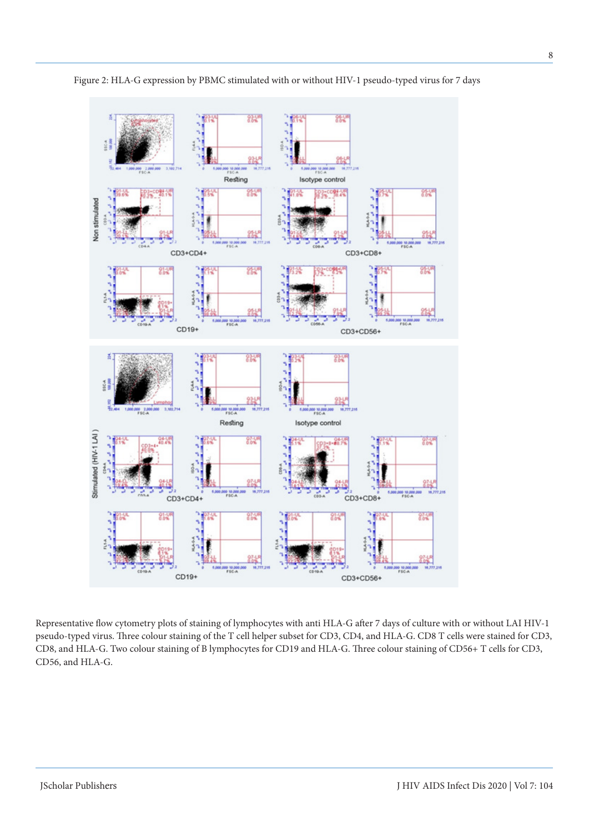

Figure 2: HLA-G expression by PBMC stimulated with or without HIV-1 pseudo-typed virus for 7 days

Representative flow cytometry plots of staining of lymphocytes with anti HLA-G after 7 days of culture with or without LAI HIV-1 pseudo-typed virus. Three colour staining of the T cell helper subset for CD3, CD4, and HLA-G. CD8 T cells were stained for CD3, CD8, and HLA-G. Two colour staining of B lymphocytes for CD19 and HLA-G. Three colour staining of CD56+ T cells for CD3, CD56, and HLA-G.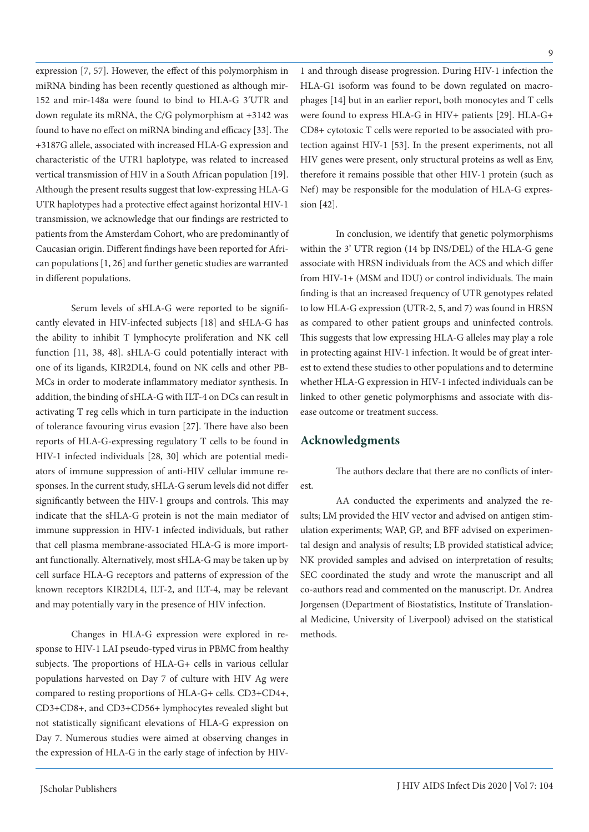expression [7, 57]. However, the effect of this polymorphism in miRNA binding has been recently questioned as although mir-152 and mir-148a were found to bind to HLA-G 3′UTR and down regulate its mRNA, the C/G polymorphism at +3142 was found to have no effect on miRNA binding and efficacy [33]. The +3187G allele, associated with increased HLA-G expression and characteristic of the UTR1 haplotype, was related to increased vertical transmission of HIV in a South African population [19]. Although the present results suggest that low-expressing HLA-G UTR haplotypes had a protective effect against horizontal HIV-1 transmission, we acknowledge that our findings are restricted to patients from the Amsterdam Cohort, who are predominantly of Caucasian origin. Different findings have been reported for African populations [1, 26] and further genetic studies are warranted in different populations.

Serum levels of sHLA-G were reported to be significantly elevated in HIV-infected subjects [18] and sHLA-G has the ability to inhibit T lymphocyte proliferation and NK cell function [11, 38, 48]. sHLA-G could potentially interact with one of its ligands, KIR2DL4, found on NK cells and other PB-MCs in order to moderate inflammatory mediator synthesis. In addition, the binding of sHLA-G with ILT-4 on DCs can result in activating T reg cells which in turn participate in the induction of tolerance favouring virus evasion [27]. There have also been reports of HLA-G-expressing regulatory T cells to be found in HIV-1 infected individuals [28, 30] which are potential mediators of immune suppression of anti-HIV cellular immune responses. In the current study, sHLA-G serum levels did not differ significantly between the HIV-1 groups and controls. This may indicate that the sHLA-G protein is not the main mediator of immune suppression in HIV-1 infected individuals, but rather that cell plasma membrane-associated HLA-G is more important functionally. Alternatively, most sHLA-G may be taken up by cell surface HLA-G receptors and patterns of expression of the known receptors KIR2DL4, ILT-2, and ILT-4, may be relevant and may potentially vary in the presence of HIV infection.

Changes in HLA-G expression were explored in response to HIV-1 LAI pseudo-typed virus in PBMC from healthy subjects. The proportions of HLA-G+ cells in various cellular populations harvested on Day 7 of culture with HIV Ag were compared to resting proportions of HLA-G+ cells. CD3+CD4+, CD3+CD8+, and CD3+CD56+ lymphocytes revealed slight but not statistically significant elevations of HLA-G expression on Day 7. Numerous studies were aimed at observing changes in the expression of HLA-G in the early stage of infection by HIV-

1 and through disease progression. During HIV-1 infection the HLA-G1 isoform was found to be down regulated on macrophages [14] but in an earlier report, both monocytes and T cells were found to express HLA-G in HIV+ patients [29]. HLA-G+ CD8+ cytotoxic T cells were reported to be associated with protection against HIV-1 [53]. In the present experiments, not all HIV genes were present, only structural proteins as well as Env, therefore it remains possible that other HIV-1 protein (such as Nef) may be responsible for the modulation of HLA-G expression [42].

In conclusion, we identify that genetic polymorphisms within the 3' UTR region (14 bp INS/DEL) of the HLA-G gene associate with HRSN individuals from the ACS and which differ from HIV-1+ (MSM and IDU) or control individuals. The main finding is that an increased frequency of UTR genotypes related to low HLA-G expression (UTR-2, 5, and 7) was found in HRSN as compared to other patient groups and uninfected controls. This suggests that low expressing HLA-G alleles may play a role in protecting against HIV-1 infection. It would be of great interest to extend these studies to other populations and to determine whether HLA-G expression in HIV-1 infected individuals can be linked to other genetic polymorphisms and associate with disease outcome or treatment success.

### **Acknowledgments**

The authors declare that there are no conflicts of interest.

AA conducted the experiments and analyzed the results; LM provided the HIV vector and advised on antigen stimulation experiments; WAP, GP, and BFF advised on experimental design and analysis of results; LB provided statistical advice; NK provided samples and advised on interpretation of results; SEC coordinated the study and wrote the manuscript and all co-authors read and commented on the manuscript. Dr. Andrea Jorgensen (Department of Biostatistics, Institute of Translational Medicine, University of Liverpool) advised on the statistical methods.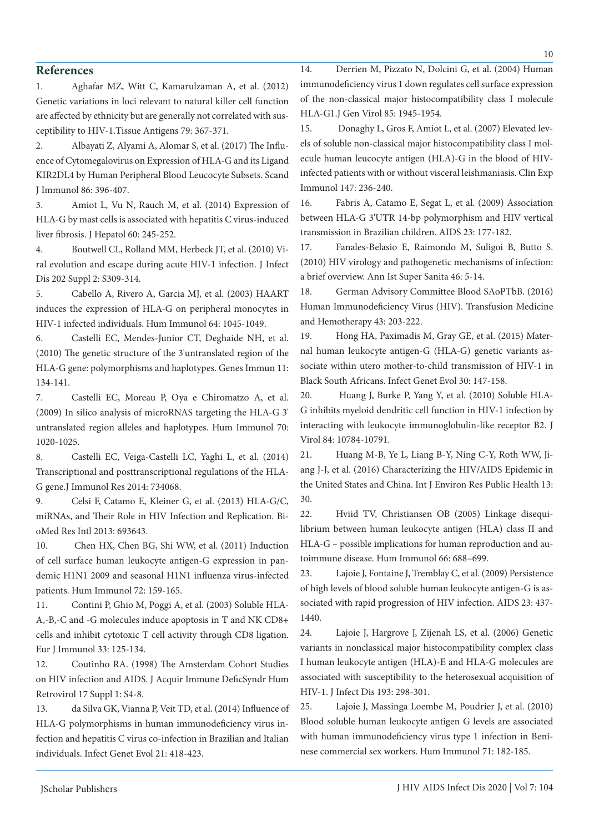### **References**

1. Aghafar MZ, Witt C, Kamarulzaman A, et al. (2012) Genetic variations in loci relevant to natural killer cell function are affected by ethnicity but are generally not correlated with susceptibility to HIV-1.Tissue Antigens 79: 367-371.

2. Albayati Z, Alyami A, Alomar S, et al. (2017) The Influence of Cytomegalovirus on Expression of HLA-G and its Ligand KIR2DL4 by Human Peripheral Blood Leucocyte Subsets. Scand J Immunol 86: 396-407.

3. Amiot L, Vu N, Rauch M, et al. (2014) Expression of HLA-G by mast cells is associated with hepatitis C virus-induced liver fibrosis. J Hepatol 60: 245-252.

4. Boutwell CL, Rolland MM, Herbeck JT, et al. (2010) Viral evolution and escape during acute HIV-1 infection. J Infect Dis 202 Suppl 2: S309-314.

5. Cabello A, Rivero A, Garcia MJ, et al. (2003) HAART induces the expression of HLA-G on peripheral monocytes in HIV-1 infected individuals. Hum Immunol 64: 1045-1049.

6. Castelli EC, Mendes-Junior CT, Deghaide NH, et al. (2010) The genetic structure of the 3'untranslated region of the HLA-G gene: polymorphisms and haplotypes. Genes Immun 11: 134-141.

7. Castelli EC, Moreau P, Oya e Chiromatzo A, et al. (2009) In silico analysis of microRNAS targeting the HLA-G 3' untranslated region alleles and haplotypes. Hum Immunol 70: 1020-1025.

8. Castelli EC, Veiga-Castelli LC, Yaghi L, et al. (2014) Transcriptional and posttranscriptional regulations of the HLA-G gene.J Immunol Res 2014: 734068.

9. Celsi F, Catamo E, Kleiner G, et al. (2013) HLA-G/C, miRNAs, and Their Role in HIV Infection and Replication. BioMed Res Intl 2013: 693643.

10. Chen HX, Chen BG, Shi WW, et al. (2011) Induction of cell surface human leukocyte antigen-G expression in pandemic H1N1 2009 and seasonal H1N1 influenza virus-infected patients. Hum Immunol 72: 159-165.

11. Contini P, Ghio M, Poggi A, et al. (2003) Soluble HLA-A,-B,-C and -G molecules induce apoptosis in T and NK CD8+ cells and inhibit cytotoxic T cell activity through CD8 ligation. Eur J Immunol 33: 125-134.

12. Coutinho RA. (1998) The Amsterdam Cohort Studies on HIV infection and AIDS. J Acquir Immune DeficSyndr Hum Retrovirol 17 Suppl 1: S4-8.

13. da Silva GK, Vianna P, Veit TD, et al. (2014) Influence of HLA-G polymorphisms in human immunodeficiency virus infection and hepatitis C virus co-infection in Brazilian and Italian individuals. Infect Genet Evol 21: 418-423.

14. Derrien M, Pizzato N, Dolcini G, et al. (2004) Human immunodeficiency virus 1 down regulates cell surface expression of the non-classical major histocompatibility class I molecule HLA-G1.J Gen Virol 85: 1945-1954.

15. Donaghy L, Gros F, Amiot L, et al. (2007) Elevated levels of soluble non-classical major histocompatibility class I molecule human leucocyte antigen (HLA)-G in the blood of HIVinfected patients with or without visceral leishmaniasis. Clin Exp Immunol 147: 236-240.

16. Fabris A, Catamo E, Segat L, et al. (2009) Association between HLA-G 3'UTR 14-bp polymorphism and HIV vertical transmission in Brazilian children. AIDS 23: 177-182.

17. Fanales-Belasio E, Raimondo M, Suligoi B, Butto S. (2010) HIV virology and pathogenetic mechanisms of infection: a brief overview. Ann Ist Super Sanita 46: 5-14.

18. German Advisory Committee Blood SAoPTbB. (2016) Human Immunodeficiency Virus (HIV). Transfusion Medicine and Hemotherapy 43: 203-222.

19. Hong HA, Paximadis M, Gray GE, et al. (2015) Maternal human leukocyte antigen-G (HLA-G) genetic variants associate within utero mother-to-child transmission of HIV-1 in Black South Africans. Infect Genet Evol 30: 147-158.

20. Huang J, Burke P, Yang Y, et al. (2010) Soluble HLA-G inhibits myeloid dendritic cell function in HIV-1 infection by interacting with leukocyte immunoglobulin-like receptor B2. J Virol 84: 10784-10791.

21. Huang M-B, Ye L, Liang B-Y, Ning C-Y, Roth WW, Jiang J-J, et al. (2016) Characterizing the HIV/AIDS Epidemic in the United States and China. Int J Environ Res Public Health 13: 30.

22. Hviid TV, Christiansen OB (2005) Linkage disequilibrium between human leukocyte antigen (HLA) class II and HLA-G – possible implications for human reproduction and autoimmune disease. Hum Immunol 66: 688–699.

23. Lajoie J, Fontaine J, Tremblay C, et al. (2009) Persistence of high levels of blood soluble human leukocyte antigen-G is associated with rapid progression of HIV infection. AIDS 23: 437- 1440.

24. Lajoie J, Hargrove J, Zijenah LS, et al. (2006) Genetic variants in nonclassical major histocompatibility complex class I human leukocyte antigen (HLA)-E and HLA-G molecules are associated with susceptibility to the heterosexual acquisition of HIV-1. J Infect Dis 193: 298-301.

25. Lajoie J, Massinga Loembe M, Poudrier J, et al. (2010) Blood soluble human leukocyte antigen G levels are associated with human immunodeficiency virus type 1 infection in Beninese commercial sex workers. Hum Immunol 71: 182-185.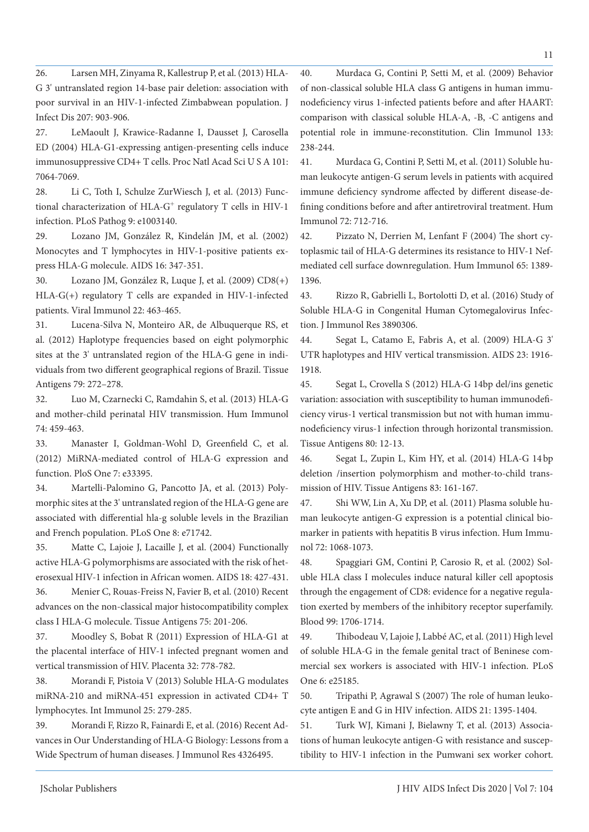26. Larsen MH, Zinyama R, Kallestrup P, et al. (2013) HLA-

G 3' untranslated region 14-base pair deletion: association with poor survival in an HIV-1-infected Zimbabwean population. J Infect Dis 207: 903-906.

27. LeMaoult J, Krawice-Radanne I, Dausset J, Carosella ED (2004) HLA-G1-expressing antigen-presenting cells induce immunosuppressive CD4+ T cells. Proc Natl Acad Sci U S A 101: 7064-7069.

28. Li C, Toth I, Schulze ZurWiesch J, et al. (2013) Functional characterization of HLA-G<sup>+</sup> regulatory T cells in HIV-1 infection. PLoS Pathog 9: e1003140.

29. Lozano JM, González R, Kindelán JM, et al. (2002) Monocytes and T lymphocytes in HIV-1-positive patients express HLA-G molecule. AIDS 16: 347-351.

30. Lozano JM, González R, Luque J, et al. (2009) CD8(+) HLA-G(+) regulatory T cells are expanded in HIV-1-infected patients. Viral Immunol 22: 463-465.

31. Lucena-Silva N, Monteiro AR, de Albuquerque RS, et al. (2012) Haplotype frequencies based on eight polymorphic sites at the 3' untranslated region of the HLA-G gene in individuals from two different geographical regions of Brazil. Tissue Antigens 79: 272–278.

32. Luo M, Czarnecki C, Ramdahin S, et al. (2013) HLA-G and mother-child perinatal HIV transmission. Hum Immunol 74: 459-463.

33. Manaster I, Goldman-Wohl D, Greenfield C, et al. (2012) MiRNA-mediated control of HLA-G expression and function. PloS One 7: e33395.

34. Martelli-Palomino G, Pancotto JA, et al. (2013) Polymorphic sites at the 3' untranslated region of the HLA-G gene are associated with differential hla-g soluble levels in the Brazilian and French population. PLoS One 8: e71742.

35. Matte C, Lajoie J, Lacaille J, et al. (2004) Functionally active HLA-G polymorphisms are associated with the risk of heterosexual HIV-1 infection in African women. AIDS 18: 427-431.

36. Menier C, Rouas-Freiss N, Favier B, et al. (2010) Recent advances on the non-classical major histocompatibility complex class I HLA-G molecule. Tissue Antigens 75: 201-206.

37. Moodley S, Bobat R (2011) Expression of HLA-G1 at the placental interface of HIV-1 infected pregnant women and vertical transmission of HIV. Placenta 32: 778-782.

38. Morandi F, Pistoia V (2013) Soluble HLA-G modulates miRNA-210 and miRNA-451 expression in activated CD4+ T lymphocytes. Int Immunol 25: 279-285.

39. Morandi F, Rizzo R, Fainardi E, et al. (2016) Recent Advances in Our Understanding of HLA-G Biology: Lessons from a Wide Spectrum of human diseases. J Immunol Res 4326495.

40. Murdaca G, Contini P, Setti M, et al. (2009) Behavior of non-classical soluble HLA class G antigens in human immunodeficiency virus 1-infected patients before and after HAART: comparison with classical soluble HLA-A, -B, -C antigens and potential role in immune-reconstitution. Clin Immunol 133: 238-244.

41. Murdaca G, Contini P, Setti M, et al. (2011) Soluble human leukocyte antigen-G serum levels in patients with acquired immune deficiency syndrome affected by different disease-defining conditions before and after antiretroviral treatment. Hum Immunol 72: 712-716.

42. Pizzato N, Derrien M, Lenfant F (2004) The short cytoplasmic tail of HLA-G determines its resistance to HIV-1 Nefmediated cell surface downregulation. Hum Immunol 65: 1389- 1396.

43. Rizzo R, Gabrielli L, Bortolotti D, et al. (2016) Study of Soluble HLA-G in Congenital Human Cytomegalovirus Infection. J Immunol Res 3890306.

44. Segat L, Catamo E, Fabris A, et al. (2009) HLA-G 3' UTR haplotypes and HIV vertical transmission. AIDS 23: 1916- 1918.

45. Segat L, Crovella S (2012) HLA-G 14bp del/ins genetic variation: association with susceptibility to human immunodeficiency virus-1 vertical transmission but not with human immunodeficiency virus-1 infection through horizontal transmission. Tissue Antigens 80: 12-13.

46. Segat L, Zupin L, Kim HY, et al. (2014) HLA-G 14 bp deletion /insertion polymorphism and mother-to-child transmission of HIV. Tissue Antigens 83: 161-167.

47. Shi WW, Lin A, Xu DP, et al. (2011) Plasma soluble human leukocyte antigen-G expression is a potential clinical biomarker in patients with hepatitis B virus infection. Hum Immunol 72: 1068-1073.

48. Spaggiari GM, Contini P, Carosio R, et al. (2002) Soluble HLA class I molecules induce natural killer cell apoptosis through the engagement of CD8: evidence for a negative regulation exerted by members of the inhibitory receptor superfamily. Blood 99: 1706-1714.

49. Thibodeau V, Lajoie J, Labbé AC, et al. (2011) High level of soluble HLA-G in the female genital tract of Beninese commercial sex workers is associated with HIV-1 infection. PLoS One 6: e25185.

50. Tripathi P, Agrawal S (2007) The role of human leukocyte antigen E and G in HIV infection. AIDS 21: 1395-1404.

51. Turk WJ, Kimani J, Bielawny T, et al. (2013) Associations of human leukocyte antigen-G with resistance and susceptibility to HIV-1 infection in the Pumwani sex worker cohort.